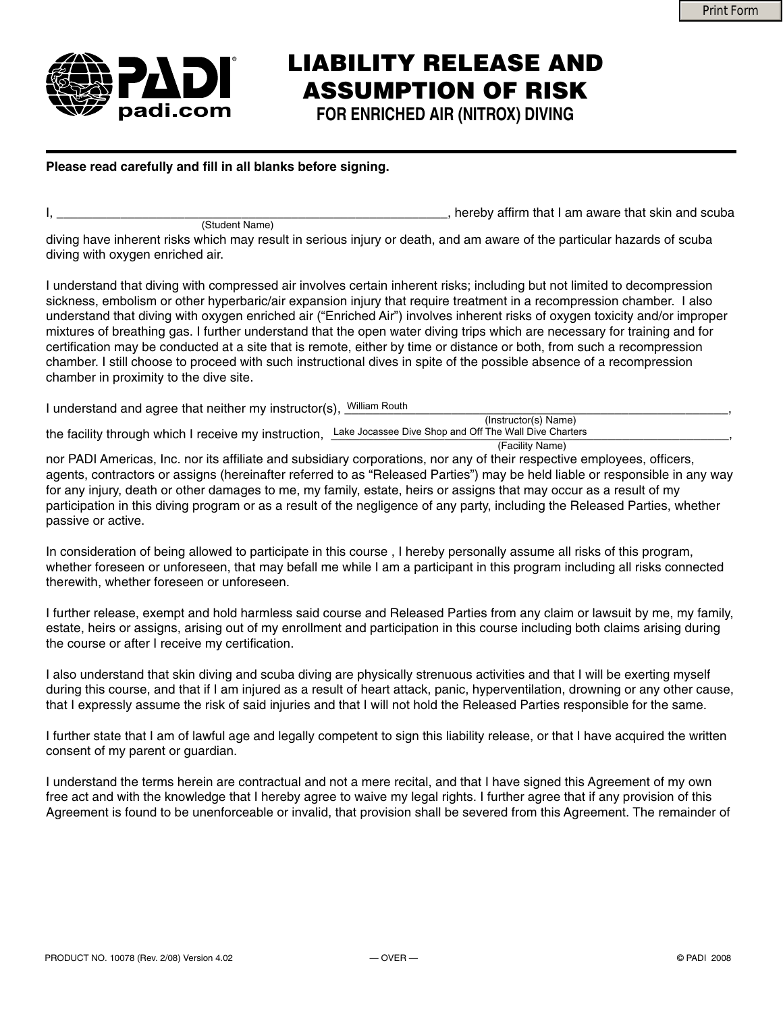

## **LIABILITY RELEASE AND ASSUMPTION OF RISK**

**FOR ENRICHED AIR (NITROX) DIVING**

## Please read carefully and fill in all blanks before signing.

(Student Name)

, hereby affirm that I am aware that skin and scuba

diving have inherent risks which may result in serious injury or death, and am aware of the particular hazards of scuba diving with oxygen enriched air.

I understand that diving with compressed air involves certain inherent risks; including but not limited to decompression sickness, embolism or other hyperbaric/air expansion injury that require treatment in a recompression chamber. I also understand that diving with oxygen enriched air ("Enriched Air") involves inherent risks of oxygen toxicity and/or improper mixtures of breathing gas. I further understand that the open water diving trips which are necessary for training and for certification may be conducted at a site that is remote, either by time or distance or both, from such a recompression chamber. I still choose to proceed with such instructional dives in spite of the possible absence of a recompression chamber in proximity to the dive site.

I understand and agree that neither my instructor(s), William Routh<br>
and the contract of the contract of the contract of the contract of the contract of the contract of the contra

the facility through which I receive my instruction, Lake Jocassee Dive Shop and Off The Wall Dive Charters **Commission and Contrary Commission** (Instructor(s) Name)

(Facility Name)

nor PADI Americas, Inc. nor its affiliate and subsidiary corporations, nor any of their respective employees, officers, agents, contractors or assigns (hereinafter referred to as "Released Parties") may be held liable or responsible in any way for any injury, death or other damages to me, my family, estate, heirs or assigns that may occur as a result of my participation in this diving program or as a result of the negligence of any party, including the Released Parties, whether passive or active.

In consideration of being allowed to participate in this course , I hereby personally assume all risks of this program, whether foreseen or unforeseen, that may befall me while I am a participant in this program including all risks connected therewith, whether foreseen or unforeseen.

I further release, exempt and hold harmless said course and Released Parties from any claim or lawsuit by me, my family, estate, heirs or assigns, arising out of my enrollment and participation in this course including both claims arising during the course or after I receive my certification.

I also understand that skin diving and scuba diving are physically strenuous activities and that I will be exerting myself during this course, and that if I am injured as a result of heart attack, panic, hyperventilation, drowning or any other cause, that I expressly assume the risk of said injuries and that I will not hold the Released Parties responsible for the same.

I further state that I am of lawful age and legally competent to sign this liability release, or that I have acquired the written consent of my parent or guardian.

I understand the terms herein are contractual and not a mere recital, and that I have signed this Agreement of my own free act and with the knowledge that I hereby agree to waive my legal rights. I further agree that if any provision of this Agreement is found to be unenforceable or invalid, that provision shall be severed from this Agreement. The remainder of